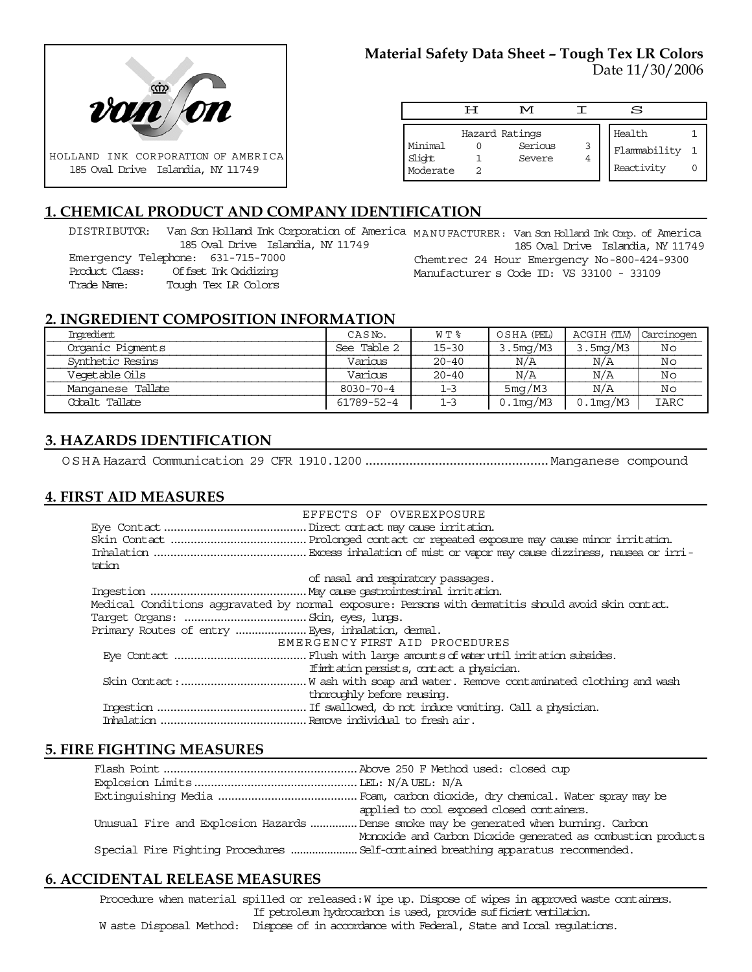

### **Material Safety Data Sheet – Tough Tex LR Colors** Date 11/30/2006

|                               | ਸ | M                                   |        | S                                    |  |
|-------------------------------|---|-------------------------------------|--------|--------------------------------------|--|
| Minimal<br>Slight<br>Moderate |   | Hazard Ratings<br>Serious<br>Severe | 3<br>4 | Health<br>Flammability<br>Reactivity |  |

# **1. CHEMICAL PRODUCT AND COMPANY IDENTIFICATION**

DISTRIBUTOR: Van Son Holland Ink Corporation of America MANUFACTURER: Van Son Holland Ink Corp. of America 185 Oval Drive Islandia, NY 11749 Emergency Telephone: 631-715-7000 Product Class: Offset Ink Oxidizing Trade Name: Tough Tex LR Colors 185 Oval Drive Islandia, NY 11749 Chemtrec 24 Hour Emergency No-800-424-9300 Manufacturer s Code ID: VS 33100 - 33109

## **2. INGREDIENT COMPOSITION INFORMATION**

| Ingredient        | CASN <sub>o</sub> . | W T %     | OSHA (PEL)  | ACGIH (TLV)           | Carcinogen |
|-------------------|---------------------|-----------|-------------|-----------------------|------------|
| Organic Pigments  | See Table 2         | $15 - 30$ | 3.5mg/M3    | 3.5 <sub>mq</sub> /M3 | Νo         |
| Synthetic Resins  | Various             | $20 - 40$ | N/A         | N/A                   | Νo         |
| Vegetable Oils    | Various             | $20 - 40$ | N/A         | N/A                   | Νo         |
| Manganese Tallate | $8030 - 70 - 4$     | $1 - 3$   | 5mg/M3      | N/A                   | Νo         |
| Cobalt Tallate    | 61789-52-4          | $1 - 3$   | $0.1$ mg/M3 | $0.1$ mg/M3           | IARC       |

# **3. HAZARDS IDENTIFICATION**

OSHA Hazard Communication 29 CFR 1910.1200..................................................Manganese compound

# **4. FIRST AID MEASURES**

|        | EFFECTS OF OVEREXPOSURE                                                                            |
|--------|----------------------------------------------------------------------------------------------------|
|        |                                                                                                    |
|        |                                                                                                    |
|        |                                                                                                    |
| tation |                                                                                                    |
|        | of nasal and respiratory passages.                                                                 |
|        |                                                                                                    |
|        | Medical Conditions aggravated by normal exposure: Persons with dematitis should avoid skin contat. |
|        |                                                                                                    |
|        |                                                                                                    |
|        | EMERGENCY FIRST AID PROCEDURES                                                                     |
|        |                                                                                                    |
|        | If initiation persists, contact a physician.                                                       |
|        |                                                                                                    |
|        | thoroughly before reusing.                                                                         |
|        |                                                                                                    |
|        |                                                                                                    |

## **5. FIRE FIGHTING MEASURES**

| applied to cool exposed closed containers.                                            |
|---------------------------------------------------------------------------------------|
| Unusual Fire and Explosion Hazards  Dense smoke may be generated when burning. Carbon |
| Monoxide and Carbon Dioxide generated as combustion products                          |
|                                                                                       |

# **6. ACCIDENTAL RELEASE MEASURES**

Procedure when material spilled or released: W ipe up. Dispose of wipes in approved waste containers. If petroleum hydrocarbon is used, provide sufficient ventilation. W aste Disposal Method: Dispose of in accordance with Federal, State and Local regulations.